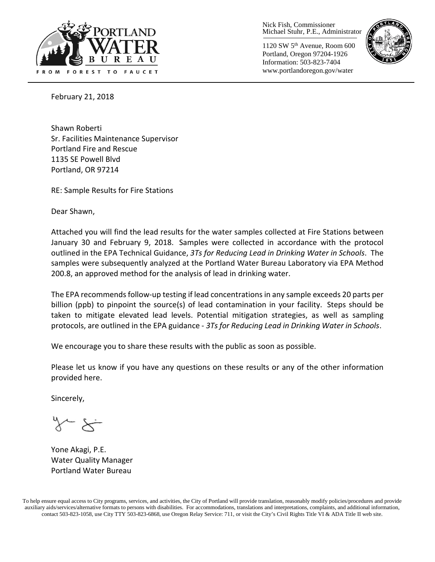

Nick Fish, Commissioner Michael Stuhr, P.E., Administrator

1120 SW 5th Avenue, Room 600 Portland, Oregon 97204-1926 Information: 503-823-7404 www.portlandoregon.gov/water



February 21, 2018

Shawn Roberti Sr. Facilities Maintenance Supervisor Portland Fire and Rescue 1135 SE Powell Blvd Portland, OR 97214

RE: Sample Results for Fire Stations

Dear Shawn,

Attached you will find the lead results for the water samples collected at Fire Stations between January 30 and February 9, 2018. Samples were collected in accordance with the protocol outlined in the EPA Technical Guidance, *3Ts for Reducing Lead in Drinking Water in Schools*. The samples were subsequently analyzed at the Portland Water Bureau Laboratory via EPA Method 200.8, an approved method for the analysis of lead in drinking water.

The EPA recommends follow-up testing if lead concentrations in any sample exceeds 20 parts per billion (ppb) to pinpoint the source(s) of lead contamination in your facility. Steps should be taken to mitigate elevated lead levels. Potential mitigation strategies, as well as sampling protocols, are outlined in the EPA guidance - *3Ts for Reducing Lead in Drinking Water in Schools*.

We encourage you to share these results with the public as soon as possible.

Please let us know if you have any questions on these results or any of the other information provided here.

Sincerely,

Yone Akagi, P.E. Water Quality Manager Portland Water Bureau

To help ensure equal access to City programs, services, and activities, the City of Portland will provide translation, reasonably modify policies/procedures and provide auxiliary aids/services/alternative formats to persons with disabilities. For accommodations, translations and interpretations, complaints, and additional information, contact 503-823-1058, use City TTY 503-823-6868, use Oregon Relay Service: 711, or visi[t the City's Civil Rights Title VI & ADA Title II web site.](http://www.portlandoregon.gov/oehr/66458)